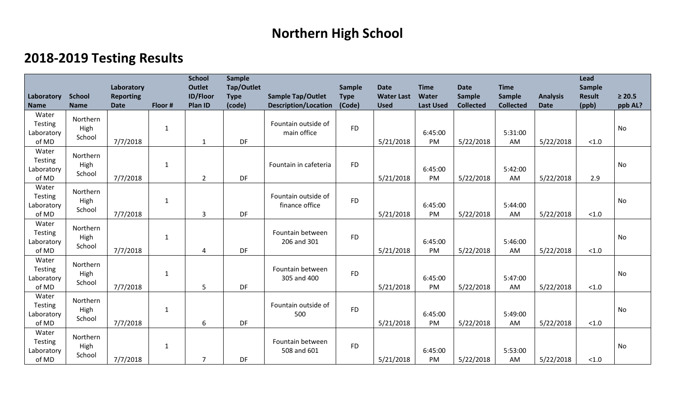## **Northern High School**

## **2018-2019 Testing Results**

| Laboratory                                     | <b>School</b>              | Laboratory<br><b>Reporting</b> |              | <b>School</b><br><b>Outlet</b><br><b>ID/Floor</b> | <b>Sample</b><br>Tap/Outlet<br><b>Type</b> | <b>Sample Tap/Outlet</b>              | Sample<br><b>Type</b> | <b>Date</b><br><b>Water Last</b> | <b>Time</b><br>Water | <b>Date</b><br>Sample | <b>Time</b><br>Sample | <b>Analysis</b> | Lead<br>Sample<br><b>Result</b> | $\geq 20.5$ |
|------------------------------------------------|----------------------------|--------------------------------|--------------|---------------------------------------------------|--------------------------------------------|---------------------------------------|-----------------------|----------------------------------|----------------------|-----------------------|-----------------------|-----------------|---------------------------------|-------------|
| <b>Name</b>                                    | <b>Name</b>                | <b>Date</b>                    | Floor #      | Plan ID                                           | (code)                                     | <b>Description/Location</b>           | (Code)                | <b>Used</b>                      | <b>Last Used</b>     | <b>Collected</b>      | <b>Collected</b>      | <b>Date</b>     | (ppb)                           | ppb AL?     |
| Water<br>Testing<br>Laboratory<br>of MD        | Northern<br>High<br>School | 7/7/2018                       | $\mathbf{1}$ | 1                                                 | DF                                         | Fountain outside of<br>main office    | <b>FD</b>             | 5/21/2018                        | 6:45:00<br>PM        | 5/22/2018             | 5:31:00<br>AM         | 5/22/2018       | $<1.0$                          | No          |
| Water<br><b>Testing</b><br>Laboratory<br>of MD | Northern<br>High<br>School | 7/7/2018                       | $\mathbf{1}$ | $\overline{2}$                                    | DF                                         | Fountain in cafeteria                 | <b>FD</b>             | 5/21/2018                        | 6:45:00<br>PM        | 5/22/2018             | 5:42:00<br>AM         | 5/22/2018       | 2.9                             | No          |
| Water<br>Testing<br>Laboratory<br>of MD        | Northern<br>High<br>School | 7/7/2018                       | $\mathbf{1}$ | 3                                                 | DF                                         | Fountain outside of<br>finance office | <b>FD</b>             | 5/21/2018                        | 6:45:00<br>PM        | 5/22/2018             | 5:44:00<br>AM         | 5/22/2018       | $<1.0$                          | <b>No</b>   |
| Water<br><b>Testing</b><br>Laboratory<br>of MD | Northern<br>High<br>School | 7/7/2018                       | 1            | 4                                                 | DF                                         | Fountain between<br>206 and 301       | <b>FD</b>             | 5/21/2018                        | 6:45:00<br>PM        | 5/22/2018             | 5:46:00<br>AM         | 5/22/2018       | $<1.0$                          | No          |
| Water<br><b>Testing</b><br>Laboratory<br>of MD | Northern<br>High<br>School | 7/7/2018                       | $\mathbf{1}$ | 5                                                 | DF                                         | Fountain between<br>305 and 400       | <b>FD</b>             | 5/21/2018                        | 6:45:00<br>PM        | 5/22/2018             | 5:47:00<br>AM         | 5/22/2018       | < 1.0                           | No          |
| Water<br><b>Testing</b><br>Laboratory<br>of MD | Northern<br>High<br>School | 7/7/2018                       | $\mathbf{1}$ | 6                                                 | DF                                         | Fountain outside of<br>500            | <b>FD</b>             | 5/21/2018                        | 6:45:00<br>PM        | 5/22/2018             | 5:49:00<br>AM         | 5/22/2018       | $<1.0$                          | No          |
| Water<br>Testing<br>Laboratory<br>of MD        | Northern<br>High<br>School | 7/7/2018                       | $\mathbf{1}$ | $\overline{7}$                                    | DF                                         | Fountain between<br>508 and 601       | <b>FD</b>             | 5/21/2018                        | 6:45:00<br>PM        | 5/22/2018             | 5:53:00<br>AM         | 5/22/2018       | < 1.0                           | No          |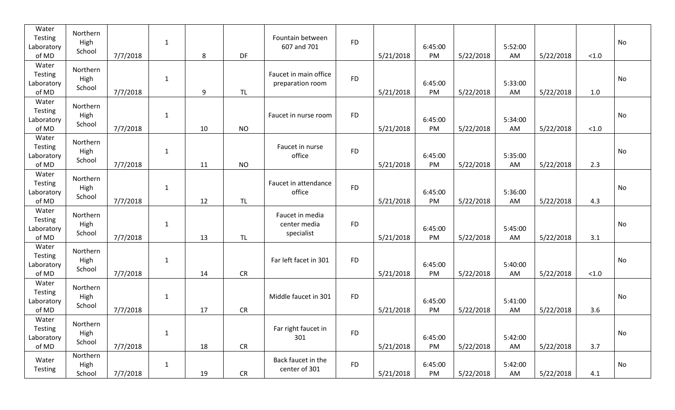| Water<br>Testing<br>Laboratory<br>of MD | Northern<br>High<br>School | 7/7/2018 | $\mathbf{1}$ | 8  | DF         | Fountain between<br>607 and 701               | <b>FD</b> | 5/21/2018 | 6:45:00<br>PM | 5/22/2018 | 5:52:00<br>AM | 5/22/2018 | < 1.0 | No |
|-----------------------------------------|----------------------------|----------|--------------|----|------------|-----------------------------------------------|-----------|-----------|---------------|-----------|---------------|-----------|-------|----|
| Water<br>Testing<br>Laboratory<br>of MD | Northern<br>High<br>School | 7/7/2018 | $\mathbf{1}$ | 9  | <b>TL</b>  | Faucet in main office<br>preparation room     | <b>FD</b> | 5/21/2018 | 6:45:00<br>PM | 5/22/2018 | 5:33:00<br>AM | 5/22/2018 | 1.0   | No |
| Water<br>Testing<br>Laboratory<br>of MD | Northern<br>High<br>School | 7/7/2018 | $\mathbf{1}$ | 10 | <b>NO</b>  | Faucet in nurse room                          | <b>FD</b> | 5/21/2018 | 6:45:00<br>PM | 5/22/2018 | 5:34:00<br>AM | 5/22/2018 | < 1.0 | No |
| Water<br>Testing<br>Laboratory<br>of MD | Northern<br>High<br>School | 7/7/2018 | $\mathbf{1}$ | 11 | <b>NO</b>  | Faucet in nurse<br>office                     | <b>FD</b> | 5/21/2018 | 6:45:00<br>PM | 5/22/2018 | 5:35:00<br>AM | 5/22/2018 | 2.3   | No |
| Water<br>Testing<br>Laboratory<br>of MD | Northern<br>High<br>School | 7/7/2018 | $\mathbf{1}$ | 12 | TL         | Faucet in attendance<br>office                | <b>FD</b> | 5/21/2018 | 6:45:00<br>PM | 5/22/2018 | 5:36:00<br>AM | 5/22/2018 | 4.3   | No |
| Water<br>Testing<br>Laboratory<br>of MD | Northern<br>High<br>School | 7/7/2018 | $\mathbf{1}$ | 13 | <b>TL</b>  | Faucet in media<br>center media<br>specialist | <b>FD</b> | 5/21/2018 | 6:45:00<br>PM | 5/22/2018 | 5:45:00<br>AM | 5/22/2018 | 3.1   | No |
| Water<br>Testing<br>Laboratory<br>of MD | Northern<br>High<br>School | 7/7/2018 | $\mathbf{1}$ | 14 | <b>CR</b>  | Far left facet in 301                         | <b>FD</b> | 5/21/2018 | 6:45:00<br>PM | 5/22/2018 | 5:40:00<br>AM | 5/22/2018 | < 1.0 | No |
| Water<br>Testing<br>Laboratory<br>of MD | Northern<br>High<br>School | 7/7/2018 | $\mathbf{1}$ | 17 | <b>CR</b>  | Middle faucet in 301                          | <b>FD</b> | 5/21/2018 | 6:45:00<br>PM | 5/22/2018 | 5:41:00<br>AM | 5/22/2018 | 3.6   | No |
| Water<br>Testing<br>Laboratory<br>of MD | Northern<br>High<br>School | 7/7/2018 | $\mathbf{1}$ | 18 | CR         | Far right faucet in<br>301                    | <b>FD</b> | 5/21/2018 | 6:45:00<br>PM | 5/22/2018 | 5:42:00<br>AM | 5/22/2018 | 3.7   | No |
| Water<br>Testing                        | Northern<br>High<br>School | 7/7/2018 | $\mathbf{1}$ | 19 | ${\sf CR}$ | Back faucet in the<br>center of 301           | <b>FD</b> | 5/21/2018 | 6:45:00<br>PM | 5/22/2018 | 5:42:00<br>AM | 5/22/2018 | 4.1   | No |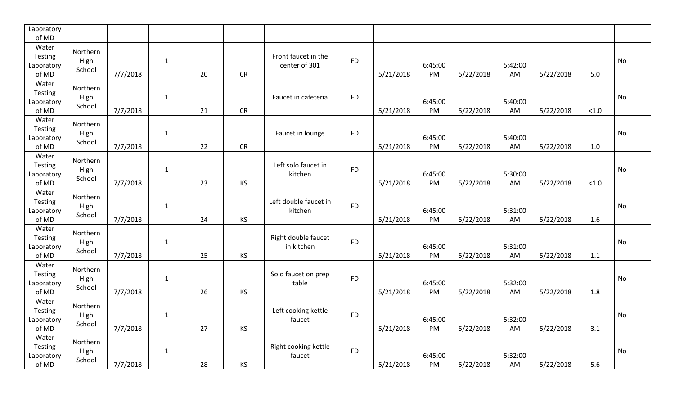| Laboratory<br>of MD                     |                            |          |              |    |           |                                      |           |           |               |           |               |           |       |    |
|-----------------------------------------|----------------------------|----------|--------------|----|-----------|--------------------------------------|-----------|-----------|---------------|-----------|---------------|-----------|-------|----|
| Water<br>Testing<br>Laboratory<br>of MD | Northern<br>High<br>School | 7/7/2018 | $\mathbf{1}$ | 20 | CR        | Front faucet in the<br>center of 301 | <b>FD</b> | 5/21/2018 | 6:45:00<br>PM | 5/22/2018 | 5:42:00<br>AM | 5/22/2018 | $5.0$ | No |
| Water<br>Testing<br>Laboratory<br>of MD | Northern<br>High<br>School | 7/7/2018 | $\mathbf{1}$ | 21 | <b>CR</b> | Faucet in cafeteria                  | <b>FD</b> | 5/21/2018 | 6:45:00<br>PM | 5/22/2018 | 5:40:00<br>AM | 5/22/2018 | < 1.0 | No |
| Water<br>Testing<br>Laboratory<br>of MD | Northern<br>High<br>School | 7/7/2018 | $\mathbf{1}$ | 22 | CR        | Faucet in lounge                     | <b>FD</b> | 5/21/2018 | 6:45:00<br>PM | 5/22/2018 | 5:40:00<br>AM | 5/22/2018 | 1.0   | No |
| Water<br>Testing<br>Laboratory<br>of MD | Northern<br>High<br>School | 7/7/2018 | $\mathbf{1}$ | 23 | <b>KS</b> | Left solo faucet in<br>kitchen       | <b>FD</b> | 5/21/2018 | 6:45:00<br>PM | 5/22/2018 | 5:30:00<br>AM | 5/22/2018 | < 1.0 | No |
| Water<br>Testing<br>Laboratory<br>of MD | Northern<br>High<br>School | 7/7/2018 | $\mathbf{1}$ | 24 | KS        | Left double faucet in<br>kitchen     | <b>FD</b> | 5/21/2018 | 6:45:00<br>PM | 5/22/2018 | 5:31:00<br>AM | 5/22/2018 | 1.6   | No |
| Water<br>Testing<br>Laboratory<br>of MD | Northern<br>High<br>School | 7/7/2018 | $\mathbf{1}$ | 25 | <b>KS</b> | Right double faucet<br>in kitchen    | <b>FD</b> | 5/21/2018 | 6:45:00<br>PM | 5/22/2018 | 5:31:00<br>AM | 5/22/2018 | 1.1   | No |
| Water<br>Testing<br>Laboratory<br>of MD | Northern<br>High<br>School | 7/7/2018 | $\mathbf{1}$ | 26 | KS        | Solo faucet on prep<br>table         | <b>FD</b> | 5/21/2018 | 6:45:00<br>PM | 5/22/2018 | 5:32:00<br>AM | 5/22/2018 | 1.8   | No |
| Water<br>Testing<br>Laboratory<br>of MD | Northern<br>High<br>School | 7/7/2018 | $\mathbf{1}$ | 27 | KS        | Left cooking kettle<br>faucet        | <b>FD</b> | 5/21/2018 | 6:45:00<br>PM | 5/22/2018 | 5:32:00<br>AM | 5/22/2018 | 3.1   | No |
| Water<br>Testing<br>Laboratory<br>of MD | Northern<br>High<br>School | 7/7/2018 | $\mathbf{1}$ | 28 | KS        | Right cooking kettle<br>faucet       | <b>FD</b> | 5/21/2018 | 6:45:00<br>PM | 5/22/2018 | 5:32:00<br>AM | 5/22/2018 | 5.6   | No |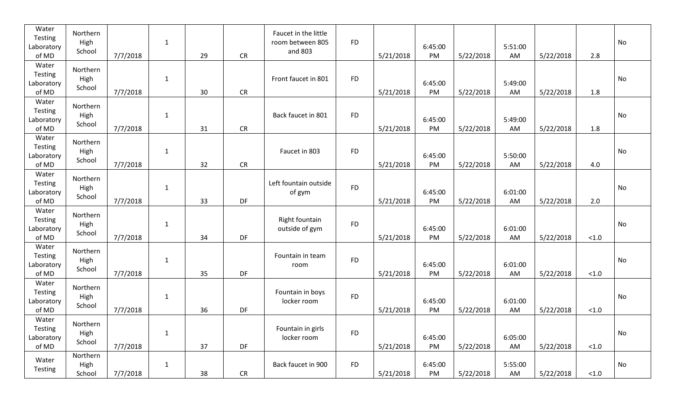| Water<br>Testing<br>Laboratory<br>of MD | Northern<br>High<br>School | 7/7/2018 | $\mathbf{1}$ | 29 | CR        | Faucet in the little<br>room between 805<br>and 803 | <b>FD</b> | 5/21/2018 | 6:45:00<br>PM | 5/22/2018 | 5:51:00<br>AM | 5/22/2018 | 2.8    | No |
|-----------------------------------------|----------------------------|----------|--------------|----|-----------|-----------------------------------------------------|-----------|-----------|---------------|-----------|---------------|-----------|--------|----|
| Water<br>Testing<br>Laboratory<br>of MD | Northern<br>High<br>School | 7/7/2018 | $\mathbf{1}$ | 30 | CR        | Front faucet in 801                                 | <b>FD</b> | 5/21/2018 | 6:45:00<br>PM | 5/22/2018 | 5:49:00<br>AM | 5/22/2018 | 1.8    | No |
| Water<br>Testing<br>Laboratory<br>of MD | Northern<br>High<br>School | 7/7/2018 | $\mathbf{1}$ | 31 | <b>CR</b> | Back faucet in 801                                  | <b>FD</b> | 5/21/2018 | 6:45:00<br>PM | 5/22/2018 | 5:49:00<br>AM | 5/22/2018 | 1.8    | No |
| Water<br>Testing<br>Laboratory<br>of MD | Northern<br>High<br>School | 7/7/2018 | $\mathbf{1}$ | 32 | CR        | Faucet in 803                                       | <b>FD</b> | 5/21/2018 | 6:45:00<br>PM | 5/22/2018 | 5:50:00<br>AM | 5/22/2018 | 4.0    | No |
| Water<br>Testing<br>Laboratory<br>of MD | Northern<br>High<br>School | 7/7/2018 | $\mathbf{1}$ | 33 | DF        | Left fountain outside<br>of gym                     | <b>FD</b> | 5/21/2018 | 6:45:00<br>PM | 5/22/2018 | 6:01:00<br>AM | 5/22/2018 | 2.0    | No |
| Water<br>Testing<br>Laboratory<br>of MD | Northern<br>High<br>School | 7/7/2018 | $\mathbf{1}$ | 34 | DF        | Right fountain<br>outside of gym                    | <b>FD</b> | 5/21/2018 | 6:45:00<br>PM | 5/22/2018 | 6:01:00<br>AM | 5/22/2018 | $<1.0$ | No |
| Water<br>Testing<br>Laboratory<br>of MD | Northern<br>High<br>School | 7/7/2018 | $\mathbf{1}$ | 35 | DF        | Fountain in team<br>room                            | <b>FD</b> | 5/21/2018 | 6:45:00<br>PM | 5/22/2018 | 6:01:00<br>AM | 5/22/2018 | < 1.0  | No |
| Water<br>Testing<br>Laboratory<br>of MD | Northern<br>High<br>School | 7/7/2018 | $\mathbf{1}$ | 36 | DF        | Fountain in boys<br>locker room                     | <b>FD</b> | 5/21/2018 | 6:45:00<br>PM | 5/22/2018 | 6:01:00<br>AM | 5/22/2018 | < 1.0  | No |
| Water<br>Testing<br>Laboratory<br>of MD | Northern<br>High<br>School | 7/7/2018 | $\mathbf{1}$ | 37 | DF        | Fountain in girls<br>locker room                    | <b>FD</b> | 5/21/2018 | 6:45:00<br>PM | 5/22/2018 | 6:05:00<br>AM | 5/22/2018 | $<1.0$ | No |
| Water<br>Testing                        | Northern<br>High<br>School | 7/7/2018 | $\mathbf{1}$ | 38 | CR        | Back faucet in 900                                  | <b>FD</b> | 5/21/2018 | 6:45:00<br>PM | 5/22/2018 | 5:55:00<br>AM | 5/22/2018 | $<1.0$ | No |